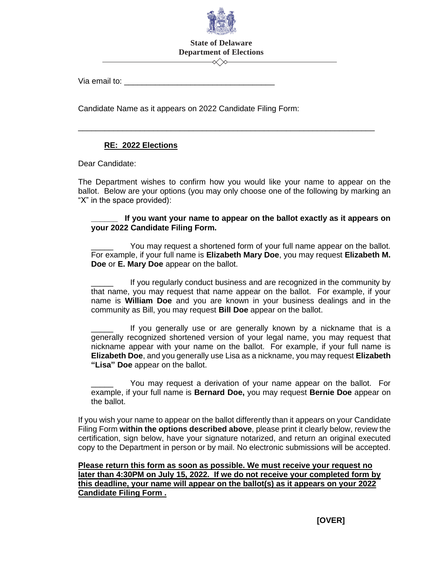

## **State of Delaware Department of Elections**

⊸≪≫

\_\_\_\_\_\_\_\_\_\_\_\_\_\_\_\_\_\_\_\_\_\_\_\_\_\_\_\_\_\_\_\_\_\_\_\_\_\_\_\_\_\_\_\_\_\_\_\_\_\_\_\_\_\_\_\_\_\_\_\_\_\_\_\_\_\_\_

Via email to: \_\_\_\_\_\_\_\_\_\_\_\_\_\_\_\_\_\_\_\_\_\_\_\_\_\_\_\_\_\_\_\_\_\_

Candidate Name as it appears on 2022 Candidate Filing Form:

## **RE: 2022 Elections**

Dear Candidate:

The Department wishes to confirm how you would like your name to appear on the ballot. Below are your options (you may only choose one of the following by marking an "X" in the space provided):

## If you want your name to appear on the ballot exactly as it appears on **your 2022 Candidate Filing Form.**

You may request a shortened form of your full name appear on the ballot. For example, if your full name is **Elizabeth Mary Doe**, you may request **Elizabeth M. Doe** or **E. Mary Doe** appear on the ballot.

If you regularly conduct business and are recognized in the community by that name, you may request that name appear on the ballot. For example, if your name is **William Doe** and you are known in your business dealings and in the community as Bill, you may request **Bill Doe** appear on the ballot.

If you generally use or are generally known by a nickname that is a generally recognized shortened version of your legal name, you may request that nickname appear with your name on the ballot. For example, if your full name is **Elizabeth Doe**, and you generally use Lisa as a nickname, you may request **Elizabeth "Lisa" Doe** appear on the ballot.

You may request a derivation of your name appear on the ballot. For example, if your full name is **Bernard Doe,** you may request **Bernie Doe** appear on the ballot.

If you wish your name to appear on the ballot differently than it appears on your Candidate Filing Form **within the options described above**, please print it clearly below, review the certification, sign below, have your signature notarized, and return an original executed copy to the Department in person or by mail. No electronic submissions will be accepted.

**Please return this form as soon as possible. We must receive your request no later than 4:30PM on July 15, 2022. If we do not receive your completed form by this deadline, your name will appear on the ballot(s) as it appears on your 2022 Candidate Filing Form .**